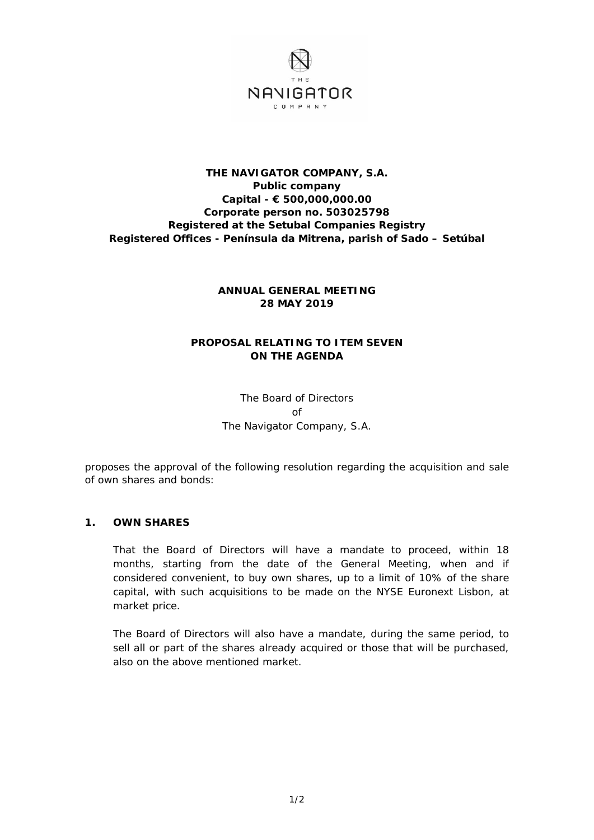

### **THE NAVIGATOR COMPANY, S.A. Public company Capital - € 500,000,000.00 Corporate person no. 503025798 Registered at the Setubal Companies Registry Registered Offices - Península da Mitrena, parish of Sado – Setúbal**

## **ANNUAL GENERAL MEETING 28 MAY 2019**

# **PROPOSAL RELATING TO ITEM SEVEN ON THE AGENDA**

The Board of Directors of The Navigator Company, S.A.

proposes the approval of the following resolution regarding the acquisition and sale of own shares and bonds:

#### **1. OWN SHARES**

That the Board of Directors will have a mandate to proceed, within 18 months, starting from the date of the General Meeting, when and if considered convenient, to buy own shares, up to a limit of 10% of the share capital, with such acquisitions to be made on the NYSE Euronext Lisbon, at market price.

The Board of Directors will also have a mandate, during the same period, to sell all or part of the shares already acquired or those that will be purchased, also on the above mentioned market.